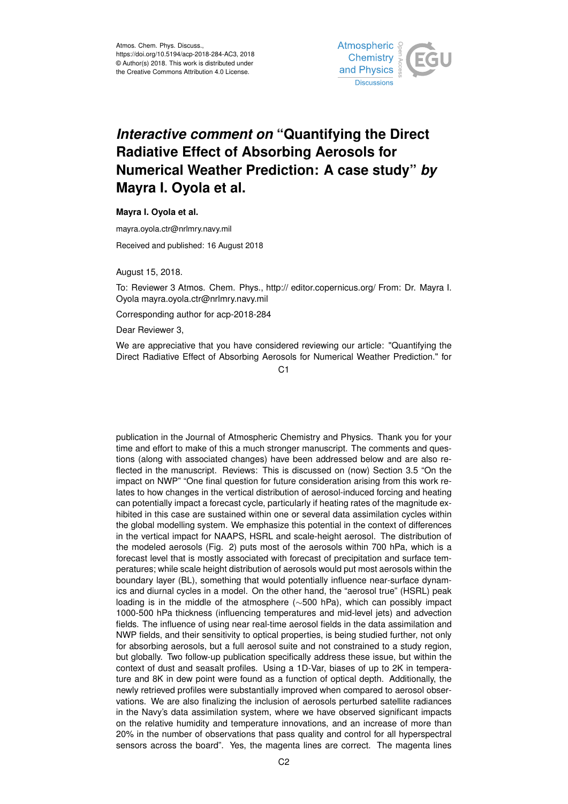

## *Interactive comment on* **"Quantifying the Direct Radiative Effect of Absorbing Aerosols for Numerical Weather Prediction: A case study"** *by* **Mayra I. Oyola et al.**

**Mayra I. Oyola et al.**

mayra.oyola.ctr@nrlmry.navy.mil

Received and published: 16 August 2018

August 15, 2018.

To: Reviewer 3 Atmos. Chem. Phys., http:// editor.copernicus.org/ From: Dr. Mayra I. Oyola mayra.oyola.ctr@nrlmry.navy.mil

Corresponding author for acp-2018-284

Dear Reviewer 3,

We are appreciative that you have considered reviewing our article: "Quantifying the Direct Radiative Effect of Absorbing Aerosols for Numerical Weather Prediction." for

 $C<sub>1</sub>$ 

publication in the Journal of Atmospheric Chemistry and Physics. Thank you for your time and effort to make of this a much stronger manuscript. The comments and questions (along with associated changes) have been addressed below and are also reflected in the manuscript. Reviews: This is discussed on (now) Section 3.5 "On the impact on NWP" "One final question for future consideration arising from this work relates to how changes in the vertical distribution of aerosol-induced forcing and heating can potentially impact a forecast cycle, particularly if heating rates of the magnitude exhibited in this case are sustained within one or several data assimilation cycles within the global modelling system. We emphasize this potential in the context of differences in the vertical impact for NAAPS, HSRL and scale-height aerosol. The distribution of the modeled aerosols (Fig. 2) puts most of the aerosols within 700 hPa, which is a forecast level that is mostly associated with forecast of precipitation and surface temperatures; while scale height distribution of aerosols would put most aerosols within the boundary layer (BL), something that would potentially influence near-surface dynamics and diurnal cycles in a model. On the other hand, the "aerosol true" (HSRL) peak loading is in the middle of the atmosphere (∼500 hPa), which can possibly impact 1000-500 hPa thickness (influencing temperatures and mid-level jets) and advection fields. The influence of using near real-time aerosol fields in the data assimilation and NWP fields, and their sensitivity to optical properties, is being studied further, not only for absorbing aerosols, but a full aerosol suite and not constrained to a study region, but globally. Two follow-up publication specifically address these issue, but within the context of dust and seasalt profiles. Using a 1D-Var, biases of up to 2K in temperature and 8K in dew point were found as a function of optical depth. Additionally, the newly retrieved profiles were substantially improved when compared to aerosol observations. We are also finalizing the inclusion of aerosols perturbed satellite radiances in the Navy's data assimilation system, where we have observed significant impacts on the relative humidity and temperature innovations, and an increase of more than 20% in the number of observations that pass quality and control for all hyperspectral sensors across the board". Yes, the magenta lines are correct. The magenta lines